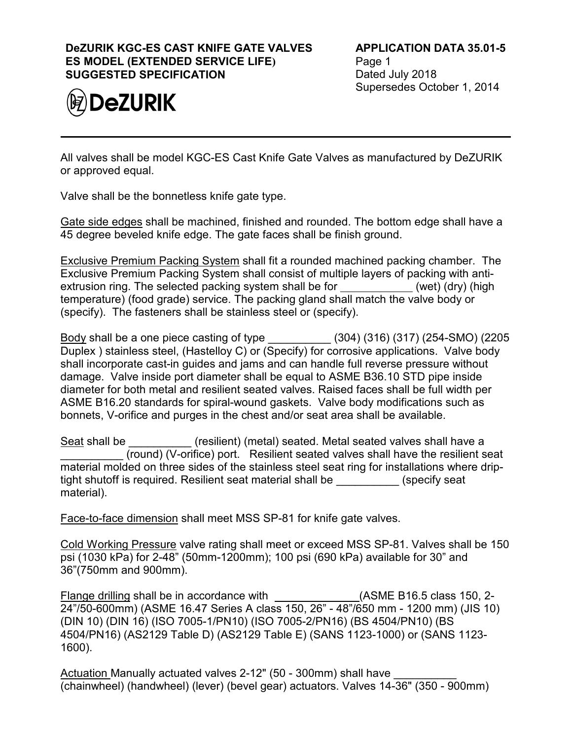## **DeZURIK KGC-ES CAST KNIFE GATE VALVES ES MODEL (EXTENDED SERVICE LIFE) SUGGESTED SPECIFICATION**



All valves shall be model KGC-ES Cast Knife Gate Valves as manufactured by DeZURIK or approved equal.

Valve shall be the bonnetless knife gate type.

Gate side edges shall be machined, finished and rounded. The bottom edge shall have a 45 degree beveled knife edge. The gate faces shall be finish ground.

Exclusive Premium Packing System shall fit a rounded machined packing chamber. The Exclusive Premium Packing System shall consist of multiple layers of packing with antiextrusion ring. The selected packing system shall be for (wet) (dry) (high temperature) (food grade) service. The packing gland shall match the valve body or (specify). The fasteners shall be stainless steel or (specify).

Body shall be a one piece casting of type \_\_\_\_\_\_\_\_\_\_ (304) (316) (317) (254-SMO) (2205 Duplex ) stainless steel, (Hastelloy C) or (Specify) for corrosive applications. Valve body shall incorporate cast-in guides and jams and can handle full reverse pressure without damage. Valve inside port diameter shall be equal to ASME B36.10 STD pipe inside diameter for both metal and resilient seated valves. Raised faces shall be full width per ASME B16.20 standards for spiral-wound gaskets. Valve body modifications such as bonnets, V-orifice and purges in the chest and/or seat area shall be available.

Seat shall be  $\qquad \qquad$  (resilient) (metal) seated. Metal seated valves shall have a (round) (V-orifice) port. Resilient seated valves shall have the resilient seat material molded on three sides of the stainless steel seat ring for installations where driptight shutoff is required. Resilient seat material shall be  $\qquad \qquad$  (specify seat material).

Face-to-face dimension shall meet MSS SP-81 for knife gate valves.

Cold Working Pressure valve rating shall meet or exceed MSS SP-81. Valves shall be 150 psi (1030 kPa) for 2-48" (50mm-1200mm); 100 psi (690 kPa) available for 30" and 36"(750mm and 900mm).

Flange drilling shall be in accordance with \_\_\_\_\_\_\_\_\_\_\_\_\_\_\_(ASME B16.5 class 150, 2-24"/50-600mm) (ASME 16.47 Series A class 150, 26" - 48"/650 mm - 1200 mm) (JIS 10) (DIN 10) (DIN 16) (ISO 7005-1/PN10) (ISO 7005-2/PN16) (BS 4504/PN10) (BS 4504/PN16) (AS2129 Table D) (AS2129 Table E) (SANS 1123-1000) or (SANS 1123- 1600).

Actuation Manually actuated valves 2-12" (50 - 300mm) shall have (chainwheel) (handwheel) (lever) (bevel gear) actuators. Valves 14-36" (350 - 900mm)